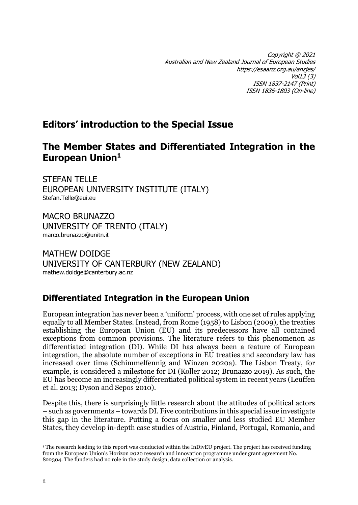Copyright @ 2021 Australian and New Zealand Journal of European Studies https://esaanz.org.au/anzjes/ Vol13 (3) ISSN 1837-2147 (Print) ISSN 1836-1803 (On-line)

## **Editors' introduction to the Special Issue**

## **The Member States and Differentiated Integration in the European Union<sup>1</sup>**

STEFAN TELLE EUROPEAN UNIVERSITY INSTITUTE (ITALY) Stefan.Telle@eui.eu

MACRO BRUNAZZO UNIVERSITY OF TRENTO (ITALY) marco.brunazzo@unitn.it

MATHEW DOIDGE UNIVERSITY OF CANTERBURY (NEW ZEALAND) mathew.doidge@canterbury.ac.nz

## **Differentiated Integration in the European Union**

European integration has never been a 'uniform' process, with one set of rules applying equally to all Member States. Instead, from Rome (1958) to Lisbon (2009), the treaties establishing the European Union (EU) and its predecessors have all contained exceptions from common provisions. The literature refers to this phenomenon as differentiated integration (DI). While DI has always been a feature of European integration, the absolute number of exceptions in EU treaties and secondary law has increased over time (Schimmelfennig and Winzen 2020a). The Lisbon Treaty, for example, is considered a milestone for DI (Koller 2012; Brunazzo 2019). As such, the EU has become an increasingly differentiated political system in recent years (Leuffen et al. 2013; Dyson and Sepos 2010).

Despite this, there is surprisingly little research about the attitudes of political actors – such as governments – towards DI. Five contributions in this special issue investigate this gap in the literature. Putting a focus on smaller and less studied EU Member States, they develop in-depth case studies of Austria, Finland, Portugal, Romania, and

<sup>&</sup>lt;sup>1</sup> The research leading to this report was conducted within the InDivEU project. The project has received funding from the European Union's Horizon 2020 research and innovation programme under grant agreement No. 822304. The funders had no role in the study design, data collection or analysis.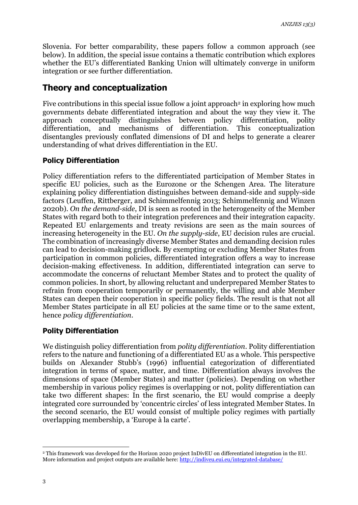Slovenia. For better comparability, these papers follow a common approach (see below). In addition, the special issue contains a thematic contribution which explores whether the EU's differentiated Banking Union will ultimately converge in uniform integration or see further differentiation.

### **Theory and conceptualization**

Five contributions in this special issue follow a joint approach<sup>2</sup> in exploring how much governments debate differentiated integration and about the way they view it. The approach conceptually distinguishes between policy differentiation, polity differentiation, and mechanisms of differentiation. This conceptualization disentangles previously conflated dimensions of DI and helps to generate a clearer understanding of what drives differentiation in the EU.

#### **Policy Differentiation**

Policy differentiation refers to the differentiated participation of Member States in specific EU policies, such as the Eurozone or the Schengen Area. The literature explaining policy differentiation distinguishes between demand-side and supply-side factors (Leuffen, Rittberger, and Schimmelfennig 2013; Schimmelfennig and Winzen 2020b). *On the demand-side*, DI is seen as rooted in the heterogeneity of the Member States with regard both to their integration preferences and their integration capacity. Repeated EU enlargements and treaty revisions are seen as the main sources of increasing heterogeneity in the EU. *On the supply-side*, EU decision rules are crucial. The combination of increasingly diverse Member States and demanding decision rules can lead to decision-making gridlock. By exempting or excluding Member States from participation in common policies, differentiated integration offers a way to increase decision-making effectiveness. In addition, differentiated integration can serve to accommodate the concerns of reluctant Member States and to protect the quality of common policies. In short, by allowing reluctant and underprepared Member States to refrain from cooperation temporarily or permanently, the willing and able Member States can deepen their cooperation in specific policy fields. The result is that not all Member States participate in all EU policies at the same time or to the same extent, hence *policy differentiation*.

#### **Polity Differentiation**

We distinguish policy differentiation from *polity differentiation*. Polity differentiation refers to the nature and functioning of a differentiated EU as a whole. This perspective builds on Alexander Stubb's (1996) influential categorization of differentiated integration in terms of space, matter, and time. Differentiation always involves the dimensions of space (Member States) and matter (policies). Depending on whether membership in various policy regimes is overlapping or not, polity differentiation can take two different shapes: In the first scenario, the EU would comprise a deeply integrated core surrounded by 'concentric circles' of less integrated Member States. In the second scenario, the EU would consist of multiple policy regimes with partially overlapping membership, a 'Europe à la carte'.

<sup>2</sup> This framework was developed for the Horizon 2020 project InDivEU on differentiated integration in the EU. More information and project outputs are available here:<http://indiveu.eui.eu/integrated-database/>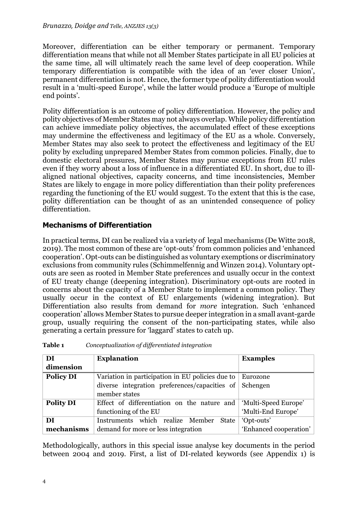Moreover, differentiation can be either temporary or permanent. Temporary differentiation means that while not all Member States participate in all EU policies at the same time, all will ultimately reach the same level of deep cooperation. While temporary differentiation is compatible with the idea of an 'ever closer Union', permanent differentiation is not. Hence, the former type of polity differentiation would result in a 'multi-speed Europe', while the latter would produce a 'Europe of multiple end points'.

Polity differentiation is an outcome of policy differentiation. However, the policy and polity objectives of Member States may not always overlap. While policy differentiation can achieve immediate policy objectives, the accumulated effect of these exceptions may undermine the effectiveness and legitimacy of the EU as a whole. Conversely, Member States may also seek to protect the effectiveness and legitimacy of the EU polity by excluding unprepared Member States from common policies. Finally, due to domestic electoral pressures, Member States may pursue exceptions from EU rules even if they worry about a loss of influence in a differentiated EU. In short, due to illaligned national objectives, capacity concerns, and time inconsistencies, Member States are likely to engage in more policy differentiation than their polity preferences regarding the functioning of the EU would suggest. To the extent that this is the case, polity differentiation can be thought of as an unintended consequence of policy differentiation.

#### **Mechanisms of Differentiation**

In practical terms, DI can be realized via a variety of legal mechanisms (De Witte 2018, 2019). The most common of these are 'opt-outs' from common policies and 'enhanced cooperation'. Opt-outs can be distinguished as voluntary exemptions or discriminatory exclusions from community rules (Schimmelfennig and Winzen 2014). Voluntary optouts are seen as rooted in Member State preferences and usually occur in the context of EU treaty change (deepening integration). Discriminatory opt-outs are rooted in concerns about the capacity of a Member State to implement a common policy. They usually occur in the context of EU enlargements (widening integration). But Differentiation also results from demand for *more* integration. Such 'enhanced cooperation' allows Member States to pursue deeper integration in a small avant-garde group, usually requiring the consent of the non-participating states, while also generating a certain pressure for 'laggard' states to catch up.

| DI               | <b>Explanation</b>                                    | <b>Examples</b>        |
|------------------|-------------------------------------------------------|------------------------|
| dimension        |                                                       |                        |
| <b>Policy DI</b> | Variation in participation in EU policies due to      | Eurozone               |
|                  | diverse integration preferences/capacities of $\vert$ | Schengen               |
|                  | member states                                         |                        |
| <b>Polity DI</b> | Effect of differentiation on the nature and           | 'Multi-Speed Europe'   |
|                  | functioning of the EU                                 | 'Multi-End Europe'     |
| DI               | Instruments which realize Member<br>State             | 'Opt-outs'             |
| mechanisms       | demand for more or less integration                   | 'Enhanced cooperation' |

| Table 1 | Conceptualization of differentiated integration |  |  |
|---------|-------------------------------------------------|--|--|
|---------|-------------------------------------------------|--|--|

Methodologically, authors in this special issue analyse key documents in the period between 2004 and 2019. First, a list of DI-related keywords (see Appendix 1) is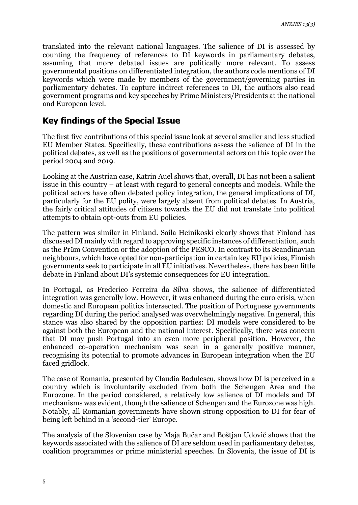translated into the relevant national languages. The salience of DI is assessed by counting the frequency of references to DI keywords in parliamentary debates, assuming that more debated issues are politically more relevant. To assess governmental positions on differentiated integration, the authors code mentions of DI keywords which were made by members of the government/governing parties in parliamentary debates. To capture indirect references to DI, the authors also read government programs and key speeches by Prime Ministers/Presidents at the national and European level.

#### **Key findings of the Special Issue**

The first five contributions of this special issue look at several smaller and less studied EU Member States. Specifically, these contributions assess the salience of DI in the political debates, as well as the positions of governmental actors on this topic over the period 2004 and 2019.

Looking at the Austrian case, Katrin Auel shows that, overall, DI has not been a salient issue in this country – at least with regard to general concepts and models. While the political actors have often debated policy integration, the general implications of DI, particularly for the EU polity, were largely absent from political debates. In Austria, the fairly critical attitudes of citizens towards the EU did not translate into political attempts to obtain opt-outs from EU policies.

The pattern was similar in Finland. Saila Heinikoski clearly shows that Finland has discussed DI mainly with regard to approving specific instances of differentiation, such as the Prüm Convention or the adoption of the PESCO. In contrast to its Scandinavian neighbours, which have opted for non-participation in certain key EU policies, Finnish governments seek to participate in all EU initiatives. Nevertheless, there has been little debate in Finland about DI's systemic consequences for EU integration.

In Portugal, as Frederico Ferreira da Silva shows, the salience of differentiated integration was generally low. However, it was enhanced during the euro crisis, when domestic and European politics intersected. The position of Portuguese governments regarding DI during the period analysed was overwhelmingly negative. In general, this stance was also shared by the opposition parties: DI models were considered to be against both the European and the national interest. Specifically, there was concern that DI may push Portugal into an even more peripheral position. However, the enhanced co-operation mechanism was seen in a generally positive manner, recognising its potential to promote advances in European integration when the EU faced gridlock.

The case of Romania, presented by Claudia Badulescu, shows how DI is perceived in a country which is involuntarily excluded from both the Schengen Area and the Eurozone. In the period considered, a relatively low salience of DI models and DI mechanisms was evident, though the salience of Schengen and the Eurozone was high. Notably, all Romanian governments have shown strong opposition to DI for fear of being left behind in a 'second-tier' Europe.

The analysis of the Slovenian case by Maja Bučar and Boštjan Udovič shows that the keywords associated with the salience of DI are seldom used in parliamentary debates, coalition programmes or prime ministerial speeches. In Slovenia, the issue of DI is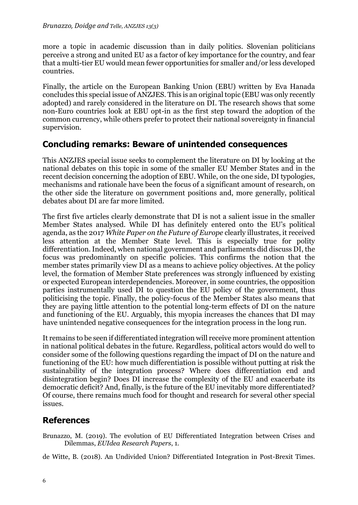more a topic in academic discussion than in daily politics. Slovenian politicians perceive a strong and united EU as a factor of key importance for the country, and fear that a multi-tier EU would mean fewer opportunities for smaller and/or less developed countries.

Finally, the article on the European Banking Union (EBU) written by Eva Hanada concludes this special issue of ANZJES. This is an original topic (EBU was only recently adopted) and rarely considered in the literature on DI. The research shows that some non-Euro countries look at EBU opt-in as the first step toward the adoption of the common currency, while others prefer to protect their national sovereignty in financial supervision.

### **Concluding remarks: Beware of unintended consequences**

This ANZJES special issue seeks to complement the literature on DI by looking at the national debates on this topic in some of the smaller EU Member States and in the recent decision concerning the adoption of EBU. While, on the one side, DI typologies, mechanisms and rationale have been the focus of a significant amount of research, on the other side the literature on government positions and, more generally, political debates about DI are far more limited.

The first five articles clearly demonstrate that DI is not a salient issue in the smaller Member States analysed. While DI has definitely entered onto the EU's political agenda, as the 2017 *White Paper on the Future of Europe* clearly illustrates, it received less attention at the Member State level. This is especially true for polity differentiation. Indeed, when national government and parliaments did discuss DI, the focus was predominantly on specific policies. This confirms the notion that the member states primarily view DI as a means to achieve policy objectives. At the policy level, the formation of Member State preferences was strongly influenced by existing or expected European interdependencies. Moreover, in some countries, the opposition parties instrumentally used DI to question the EU policy of the government, thus politicising the topic. Finally, the policy-focus of the Member States also means that they are paying little attention to the potential long-term effects of DI on the nature and functioning of the EU. Arguably, this myopia increases the chances that DI may have unintended negative consequences for the integration process in the long run.

It remains to be seen if differentiated integration will receive more prominent attention in national political debates in the future. Regardless, political actors would do well to consider some of the following questions regarding the impact of DI on the nature and functioning of the EU: how much differentiation is possible without putting at risk the sustainability of the integration process? Where does differentiation end and disintegration begin? Does DI increase the complexity of the EU and exacerbate its democratic deficit? And, finally, is the future of the EU inevitably more differentiated? Of course, there remains much food for thought and research for several other special issues.

## **References**

Brunazzo, M. (2019). The evolution of EU Differentiated Integration between Crises and Dilemmas, *EUIdea Research Papers*, 1.

de Witte, B. (2018). An Undivided Union? Differentiated Integration in Post-Brexit Times.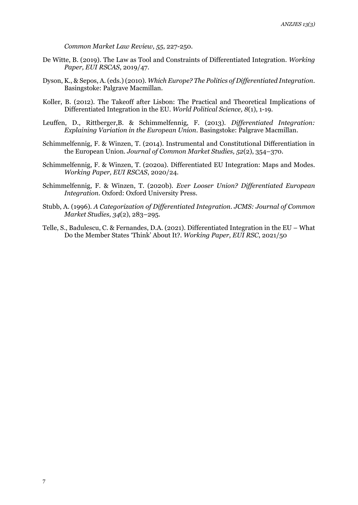*Common Market Law Review, 55*, 227-250.

- De Witte, B. (2019). The Law as Tool and Constraints of Differentiated Integration. *Working Paper, EUI RSCAS*, 2019/47.
- Dyson, K., & Sepos, A. (eds.) (2010). *Which Europe? The Politics of Differentiated Integration*. Basingstoke: Palgrave Macmillan.
- Koller, B. (2012). The Takeoff after Lisbon: The Practical and Theoretical Implications of Differentiated Integration in the EU. *World Political Science, 8*(1), 1-19.
- Leuffen, D., Rittberger,B. & Schimmelfennig, F. (2013). *Differentiated Integration: Explaining Variation in the European Union*. Basingstoke: Palgrave Macmillan.
- Schimmelfennig, F. & Winzen, T. (2014). Instrumental and Constitutional Differentiation in the European Union. *Journal of Common Market Studies, 52*(2), 354–370.
- Schimmelfennig, F. & Winzen, T. (2020a). Differentiated EU Integration: Maps and Modes. *Working Paper, EUI RSCAS*, 2020/24.
- Schimmelfennig, F. & Winzen, T. (2020b). *Ever Looser Union? Differentiated European Integration*. Oxford: Oxford University Press.
- Stubb, A. (1996). *A Categorization of Differentiated Integration*. *JCMS: Journal of Common Market Studies, 34*(2), 283–295.
- Telle, S., Badulescu, C. & Fernandes, D.A. (2021). Differentiated Integration in the EU What Do the Member States 'Think' About It?. *Working Paper, EUI RSC*, 2021/50